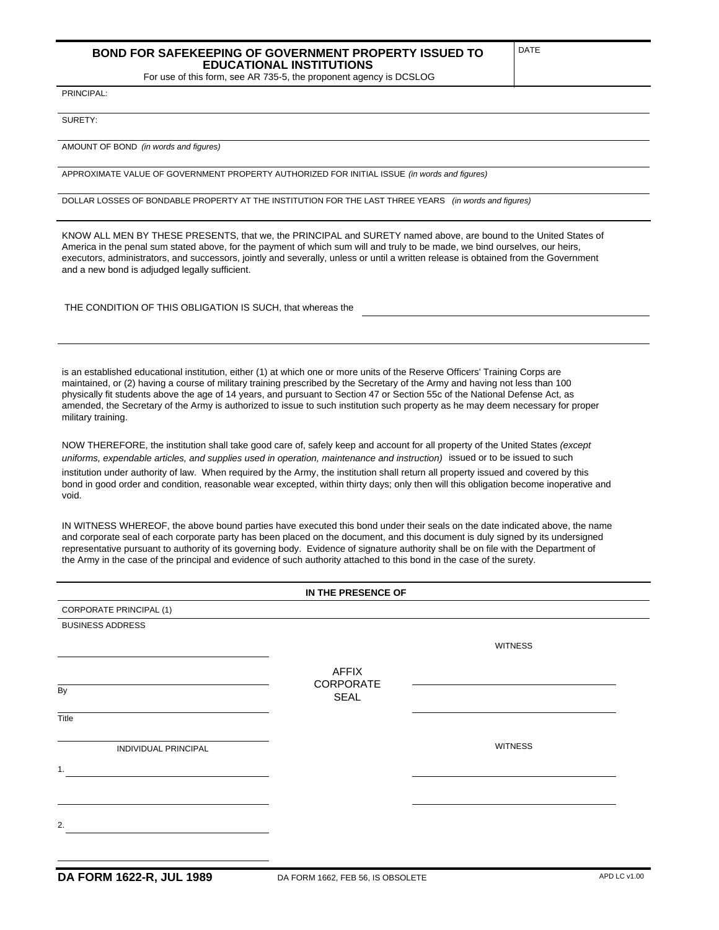## **BOND FOR SAFEKEEPING OF GOVERNMENT PROPERTY ISSUED TO EDUCATIONAL INSTITUTIONS**

For use of this form, see AR 735-5, the proponent agency is DCSLOG

DATE

PRINCIPAL:

SURETY:

AMOUNT OF BOND *(in words and figures)*

APPROXIMATE VALUE OF GOVERNMENT PROPERTY AUTHORIZED FOR INITIAL ISSUE *(in words and figures)*

DOLLAR LOSSES OF BONDABLE PROPERTY AT THE INSTITUTION FOR THE LAST THREE YEARS *(in words and figures)*

KNOW ALL MEN BY THESE PRESENTS, that we, the PRINCIPAL and SURETY named above, are bound to the United States of America in the penal sum stated above, for the payment of which sum will and truly to be made, we bind ourselves, our heirs, executors, administrators, and successors, jointly and severally, unless or until a written release is obtained from the Government and a new bond is adjudged legally sufficient.

THE CONDITION OF THIS OBLIGATION IS SUCH, that whereas the

is an established educational institution, either (1) at which one or more units of the Reserve Officers' Training Corps are maintained, or (2) having a course of military training prescribed by the Secretary of the Army and having not less than 100 physically fit students above the age of 14 years, and pursuant to Section 47 or Section 55c of the National Defense Act, as amended, the Secretary of the Army is authorized to issue to such institution such property as he may deem necessary for proper military training.

NOW THEREFORE, the institution shall take good care of, safely keep and account for all property of the United States *(except uniforms, expendable articles, and supplies used in operation, maintenance and instruction)* issued or to be issued to such institution under authority of law. When required by the Army, the institution shall return all property issued and covered by this bond in good order and condition, reasonable wear excepted, within thirty days; only then will this obligation become inoperative and

void. IN WITNESS WHEREOF, the above bound parties have executed this bond under their seals on the date indicated above, the name

and corporate seal of each corporate party has been placed on the document, and this document is duly signed by its undersigned representative pursuant to authority of its governing body. Evidence of signature authority shall be on file with the Department of the Army in the case of the principal and evidence of such authority attached to this bond in the case of the surety.

## **IN THE PRESENCE OF**

| CORPORATE PRINCIPAL (1) |                           |                |  |  |  |
|-------------------------|---------------------------|----------------|--|--|--|
| <b>BUSINESS ADDRESS</b> |                           |                |  |  |  |
|                         |                           | <b>WITNESS</b> |  |  |  |
| By                      | <b>AFFIX</b><br>CORPORATE |                |  |  |  |
|                         | <b>SEAL</b>               |                |  |  |  |
| Title                   |                           |                |  |  |  |
| INDIVIDUAL PRINCIPAL    |                           | <b>WITNESS</b> |  |  |  |
| 1.                      |                           |                |  |  |  |
|                         |                           |                |  |  |  |
|                         |                           |                |  |  |  |
| 2.                      |                           |                |  |  |  |
|                         |                           |                |  |  |  |